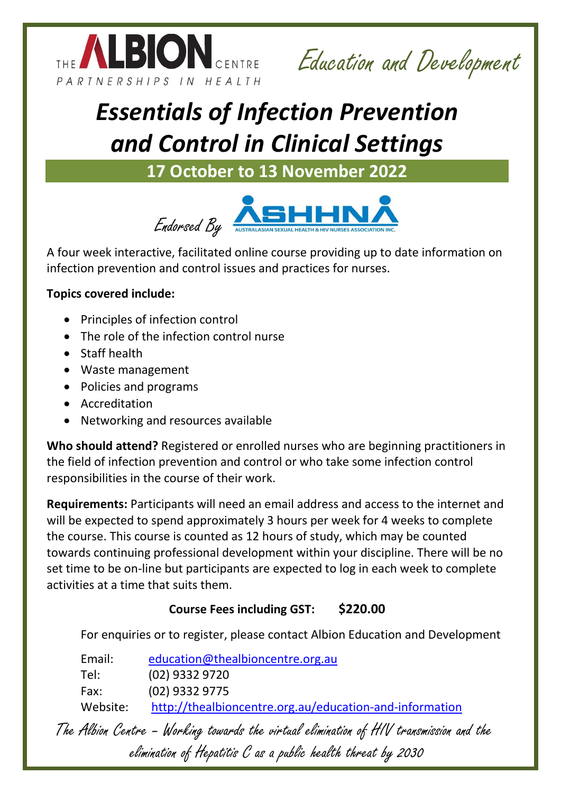

Education and Development

# *Essentials of Infection Prevention and Control in Clinical Settings*

**17 October to 13 November 2022**



A four week interactive, facilitated online course providing up to date information on infection prevention and control issues and practices for nurses.

## **Topics covered include:**

- Principles of infection control
- The role of the infection control nurse
- Staff health
- Waste management
- Policies and programs
- **•** Accreditation
- Networking and resources available

**Who should attend?** Registered or enrolled nurses who are beginning practitioners in the field of infection prevention and control or who take some infection control responsibilities in the course of their work.

**Requirements:** Participants will need an email address and access to the internet and will be expected to spend approximately 3 hours per week for 4 weeks to complete the course. This course is counted as 12 hours of study, which may be counted towards continuing professional development within your discipline. There will be no set time to be on-line but participants are expected to log in each week to complete activities at a time that suits them.

# **Course Fees including GST: \$220.00**

For enquiries or to register, please contact Albion Education and Development

| Email:   | education@thealbioncentre.org.au                        |
|----------|---------------------------------------------------------|
| Tel:     | (02) 9332 9720                                          |
| Fax:     | (02) 9332 9775                                          |
| Website: | http://thealbioncentre.org.au/education-and-information |

The Albion Centre – Working towards the virtual elimination of HIV transmission and the elimination of Hepatitis C as a public health threat by 2030